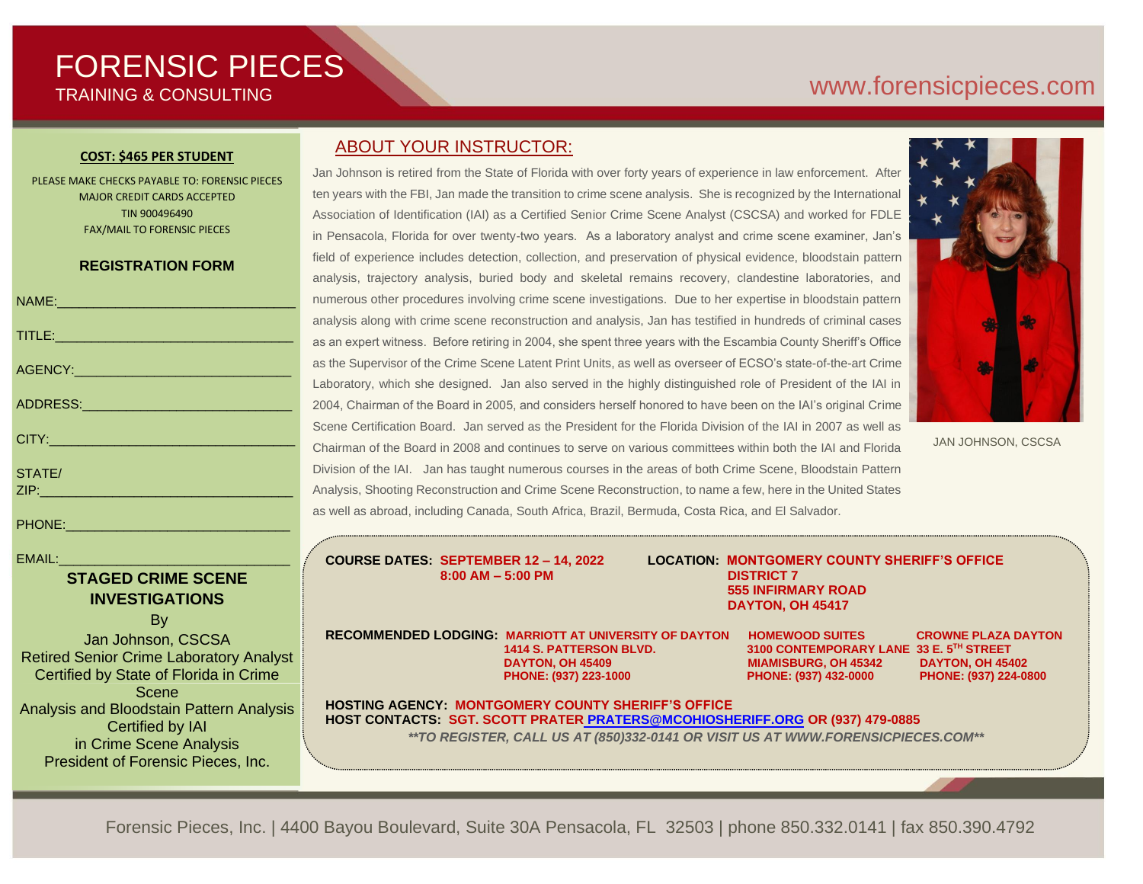# FORENSIC PIECES TRAINING & CONSULTING

## [www.forensicp](http://www.forensic/)ieces.com

#### **COST: \$465 PER STUDENT**

PLEASE MAKE CHECKS PAYABLE TO: FORENSIC PIECES MAJOR CREDIT CARDS ACCEPTED TIN 900496490 FAX/MAIL TO FORENSIC PIECES

#### **REGISTRATION FORM**

| NAME: 2008 - 2008 - 2008 - 2008 - 2010 - 2010 - 2010 - 2010 - 2010 - 2010 - 2010 - 2010 - 2010 - 2010 - 2010 -                                                                                                                |
|-------------------------------------------------------------------------------------------------------------------------------------------------------------------------------------------------------------------------------|
| TITLE: And the second contract of the second contract of the second contract of the second contract of the second contract of the second contract of the second contract of the second contract of the second contract of the |
|                                                                                                                                                                                                                               |
|                                                                                                                                                                                                                               |
| CITY: 2008 2010 2010 2021 2022 2023 2024 2022 2023 2024 2022 2023 2024 2022 2023                                                                                                                                              |
| STATE/                                                                                                                                                                                                                        |
|                                                                                                                                                                                                                               |
|                                                                                                                                                                                                                               |

 $EMAIL:$ 

### **STAGED CRIME SCENE INVESTIGATIONS**

By

Jan Johnson, CSCSA Retired Senior Crime Laboratory Analyst Certified by State of Florida in Crime Scene Analysis and Bloodstain Pattern Analysis Certified by IAI in Crime Scene Analysis President of Forensic Pieces, Inc.

### ABOUT YOUR INSTRUCTOR:

Jan Johnson is retired from the State of Florida with over forty years of experience in law enforcement. After ten years with the FBI, Jan made the transition to crime scene analysis. She is recognized by the International Association of Identification (IAI) as a Certified Senior Crime Scene Analyst (CSCSA) and worked for FDLE in Pensacola, Florida for over twenty-two years. As a laboratory analyst and crime scene examiner, Jan's field of experience includes detection, collection, and preservation of physical evidence, bloodstain pattern analysis, trajectory analysis, buried body and skeletal remains recovery, clandestine laboratories, and numerous other procedures involving crime scene investigations. Due to her expertise in bloodstain pattern analysis along with crime scene reconstruction and analysis, Jan has testified in hundreds of criminal cases as an expert witness. Before retiring in 2004, she spent three years with the Escambia County Sheriff's Office as the Supervisor of the Crime Scene Latent Print Units, as well as overseer of ECSO's state-of-the-art Crime Laboratory, which she designed. Jan also served in the highly distinguished role of President of the IAI in 2004, Chairman of the Board in 2005, and considers herself honored to have been on the IAI's original Crime Scene Certification Board. Jan served as the President for the Florida Division of the IAI in 2007 as well as Chairman of the Board in 2008 and continues to serve on various committees within both the IAI and Florida Division of the IAI. Jan has taught numerous courses in the areas of both Crime Scene, Bloodstain Pattern Analysis, Shooting Reconstruction and Crime Scene Reconstruction, to name a few, here in the United States as well as abroad, including Canada, South Africa, Brazil, Bermuda, Costa Rica, and El Salvador.



JAN JOHNSON, CSCSA

**8:00 AM – 5:00 PM DISTRICT 7** 

**COURSE DATES: SEPTEMBER 12 – 14, 2022 LOCATION: MONTGOMERY COUNTY SHERIFF'S OFFICE 555 INFIRMARY ROAD DAYTON, OH 45417**

**RECOMMENDED LODGING: MARRIOTT AT UNIVERSITY OF DAYTON HOMEWOOD SUITES CROWNE PLAZA DAYTON DAYTON, OH 45409 MIAMISBURG, OH 45342 DAYTON, OH 45402 PHONE: (937) 223-1000 PHONE: (937) 432-0000 PHONE: (937) 224-0800**

 **1414 S. PATTERSON BLVD. 3100 CONTEMPORARY LANE 33 E. 5TH STREET**

**HOSTING AGENCY: MONTGOMERY COUNTY SHERIFF'S OFFICE HOST CONTACTS: SGT. SCOTT PRATER [PRATERS@MCOHIOSHERIFF.ORG](mailto:%20PRATERS@MCOHIOSHERIFF.ORG) OR (937) 479-0885** *\*\*TO REGISTER, CALL US AT (850)332-0141 OR VISIT US AT WWW.FORENSICPIECES.COM\*\**

Forensic Pieces, Inc. | 4400 Bayou Boulevard, Suite 30A Pensacola, FL 32503 | phone 850.332.0141 | fax 850.390.4792